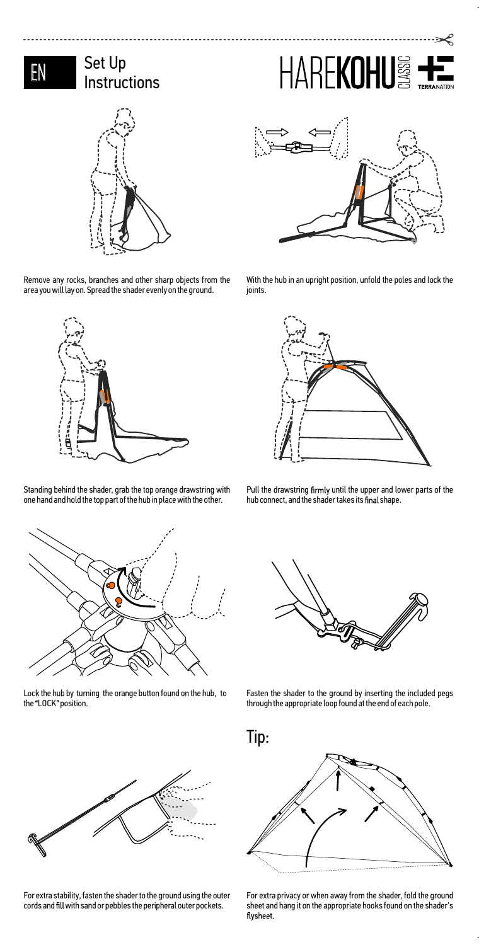## Set Up  $\mathbf{N} = \begin{cases} \mathsf{Set} \mathsf{Up} \ \mathsf{Instructions} \end{cases}$

---------------------------



Remove any rocks, branches and other sharp objects from the area you will lay on. Spread the shader evenly on the ground.



Standing behind the shader, grab the top orange drawstring with one hand and hold the top part of the hub in place with the other.



Lock the hub by turning the orange button found on the hub, to<br>the "LOCK" position.



For extra stability, fasten the shader to the ground using the outer cords and fill with sand or pebbles the peripheral outer pockets.



HAREKOHU

With the hub in an upright position, unfold the poles and lock the joints.



Pull the drawstring firmly until the upper and lower parts of the hub connect, and the shader takes its final shape.



Fasten the shader to the ground by inserting the included pegs Lock the nub by turning the orange button round on the nub, to was reasted the shauer to the ground by inserting the included pegs in the end of each pole.<br>the "LOCK" position.



For extra privacy or when away from the shader, fold the ground sheet and hang it on the appropriate hooks found on the shader's